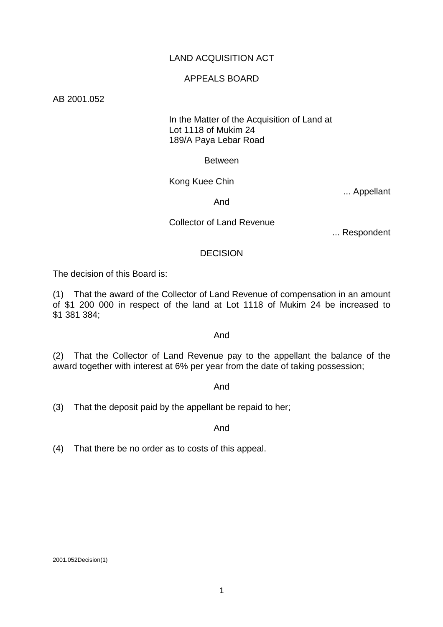# LAND ACQUISITION ACT

## APPEALS BOARD

AB 2001.052

# In the Matter of the Acquisition of Land at Lot 1118 of Mukim 24 189/A Paya Lebar Road

### Between

# Kong Kuee Chin

... Appellant

### And

### Collector of Land Revenue

... Respondent

### **DECISION**

The decision of this Board is:

(1) That the award of the Collector of Land Revenue of compensation in an amount of \$1 200 000 in respect of the land at Lot 1118 of Mukim 24 be increased to \$1 381 384;

### And

(2) That the Collector of Land Revenue pay to the appellant the balance of the award together with interest at 6% per year from the date of taking possession;

### And

(3) That the deposit paid by the appellant be repaid to her;

### And

(4) That there be no order as to costs of this appeal.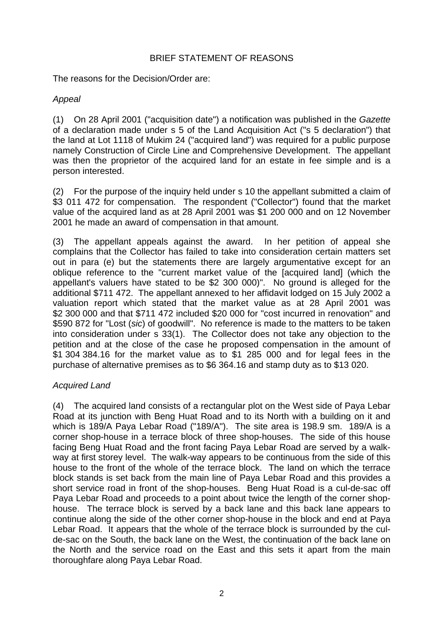# BRIEF STATEMENT OF REASONS

The reasons for the Decision/Order are:

# *Appeal*

(1) On 28 April 2001 ("acquisition date") a notification was published in the *Gazette* of a declaration made under s 5 of the Land Acquisition Act ("s 5 declaration") that the land at Lot 1118 of Mukim 24 ("acquired land") was required for a public purpose namely Construction of Circle Line and Comprehensive Development. The appellant was then the proprietor of the acquired land for an estate in fee simple and is a person interested.

(2) For the purpose of the inquiry held under s 10 the appellant submitted a claim of \$3 011 472 for compensation. The respondent ("Collector") found that the market value of the acquired land as at 28 April 2001 was \$1 200 000 and on 12 November 2001 he made an award of compensation in that amount.

(3) The appellant appeals against the award. In her petition of appeal she complains that the Collector has failed to take into consideration certain matters set out in para (e) but the statements there are largely argumentative except for an oblique reference to the "current market value of the [acquired land] (which the appellant's valuers have stated to be \$2 300 000)". No ground is alleged for the additional \$711 472. The appellant annexed to her affidavit lodged on 15 July 2002 a valuation report which stated that the market value as at 28 April 2001 was \$2 300 000 and that \$711 472 included \$20 000 for "cost incurred in renovation" and \$590 872 for "Lost (*sic*) of goodwill". No reference is made to the matters to be taken into consideration under s 33(1). The Collector does not take any objection to the petition and at the close of the case he proposed compensation in the amount of \$1 304 384.16 for the market value as to \$1 285 000 and for legal fees in the purchase of alternative premises as to \$6 364.16 and stamp duty as to \$13 020.

# *Acquired Land*

(4) The acquired land consists of a rectangular plot on the West side of Paya Lebar Road at its junction with Beng Huat Road and to its North with a building on it and which is 189/A Paya Lebar Road ("189/A"). The site area is 198.9 sm. 189/A is a corner shop-house in a terrace block of three shop-houses. The side of this house facing Beng Huat Road and the front facing Paya Lebar Road are served by a walkway at first storey level. The walk-way appears to be continuous from the side of this house to the front of the whole of the terrace block. The land on which the terrace block stands is set back from the main line of Paya Lebar Road and this provides a short service road in front of the shop-houses. Beng Huat Road is a cul-de-sac off Paya Lebar Road and proceeds to a point about twice the length of the corner shophouse. The terrace block is served by a back lane and this back lane appears to continue along the side of the other corner shop-house in the block and end at Paya Lebar Road. It appears that the whole of the terrace block is surrounded by the culde-sac on the South, the back lane on the West, the continuation of the back lane on the North and the service road on the East and this sets it apart from the main thoroughfare along Paya Lebar Road.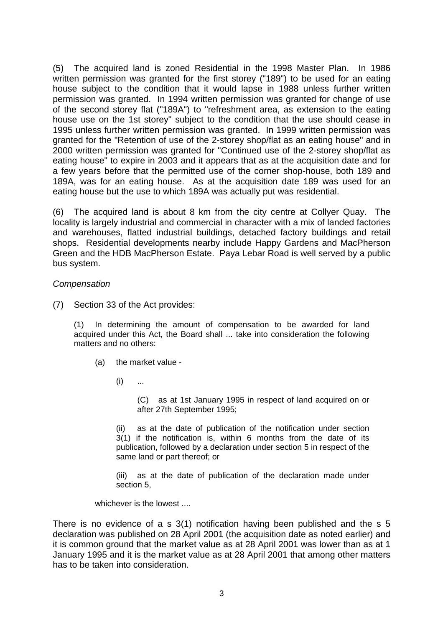(5) The acquired land is zoned Residential in the 1998 Master Plan. In 1986 written permission was granted for the first storey ("189") to be used for an eating house subject to the condition that it would lapse in 1988 unless further written permission was granted. In 1994 written permission was granted for change of use of the second storey flat ("189A") to "refreshment area, as extension to the eating house use on the 1st storey" subject to the condition that the use should cease in 1995 unless further written permission was granted. In 1999 written permission was granted for the "Retention of use of the 2-storey shop/flat as an eating house" and in 2000 written permission was granted for "Continued use of the 2-storey shop/flat as eating house" to expire in 2003 and it appears that as at the acquisition date and for a few years before that the permitted use of the corner shop-house, both 189 and 189A, was for an eating house. As at the acquisition date 189 was used for an eating house but the use to which 189A was actually put was residential.

(6) The acquired land is about 8 km from the city centre at Collyer Quay. The locality is largely industrial and commercial in character with a mix of landed factories and warehouses, flatted industrial buildings, detached factory buildings and retail shops. Residential developments nearby include Happy Gardens and MacPherson Green and the HDB MacPherson Estate. Paya Lebar Road is well served by a public bus system.

# *Compensation*

(7) Section 33 of the Act provides:

(1) In determining the amount of compensation to be awarded for land acquired under this Act, the Board shall ... take into consideration the following matters and no others:

- (a) the market value
	- $(i)$  ...

(C) as at 1st January 1995 in respect of land acquired on or after 27th September 1995;

(ii) as at the date of publication of the notification under section 3(1) if the notification is, within 6 months from the date of its publication, followed by a declaration under section 5 in respect of the same land or part thereof; or

(iii) as at the date of publication of the declaration made under section 5,

whichever is the lowest ....

There is no evidence of a s 3(1) notification having been published and the s 5 declaration was published on 28 April 2001 (the acquisition date as noted earlier) and it is common ground that the market value as at 28 April 2001 was lower than as at 1 January 1995 and it is the market value as at 28 April 2001 that among other matters has to be taken into consideration.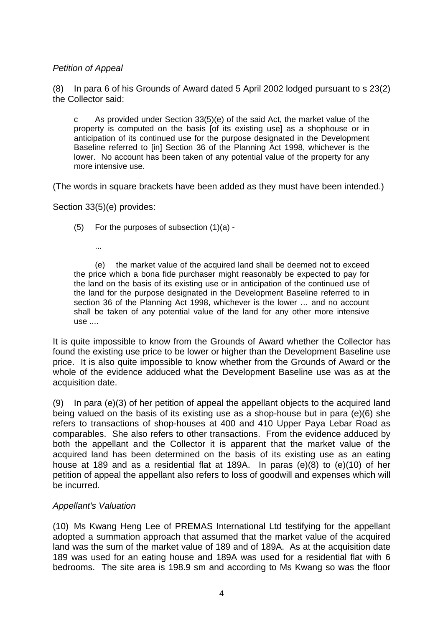# *Petition of Appeal*

(8) In para 6 of his Grounds of Award dated 5 April 2002 lodged pursuant to s 23(2) the Collector said:

c As provided under Section 33(5)(e) of the said Act, the market value of the property is computed on the basis [of its existing use] as a shophouse or in anticipation of its continued use for the purpose designated in the Development Baseline referred to [in] Section 36 of the Planning Act 1998, whichever is the lower. No account has been taken of any potential value of the property for any more intensive use.

(The words in square brackets have been added as they must have been intended.)

Section 33(5)(e) provides:

- (5) For the purposes of subsection (1)(a)
	- ...

 (e) the market value of the acquired land shall be deemed not to exceed the price which a bona fide purchaser might reasonably be expected to pay for the land on the basis of its existing use or in anticipation of the continued use of the land for the purpose designated in the Development Baseline referred to in section 36 of the Planning Act 1998, whichever is the lower … and no account shall be taken of any potential value of the land for any other more intensive use ....

It is quite impossible to know from the Grounds of Award whether the Collector has found the existing use price to be lower or higher than the Development Baseline use price. It is also quite impossible to know whether from the Grounds of Award or the whole of the evidence adduced what the Development Baseline use was as at the acquisition date.

(9) In para (e)(3) of her petition of appeal the appellant objects to the acquired land being valued on the basis of its existing use as a shop-house but in para (e)(6) she refers to transactions of shop-houses at 400 and 410 Upper Paya Lebar Road as comparables. She also refers to other transactions. From the evidence adduced by both the appellant and the Collector it is apparent that the market value of the acquired land has been determined on the basis of its existing use as an eating house at 189 and as a residential flat at 189A. In paras (e)(8) to (e)(10) of her petition of appeal the appellant also refers to loss of goodwill and expenses which will be incurred.

# *Appellant's Valuation*

(10) Ms Kwang Heng Lee of PREMAS International Ltd testifying for the appellant adopted a summation approach that assumed that the market value of the acquired land was the sum of the market value of 189 and of 189A. As at the acquisition date 189 was used for an eating house and 189A was used for a residential flat with 6 bedrooms. The site area is 198.9 sm and according to Ms Kwang so was the floor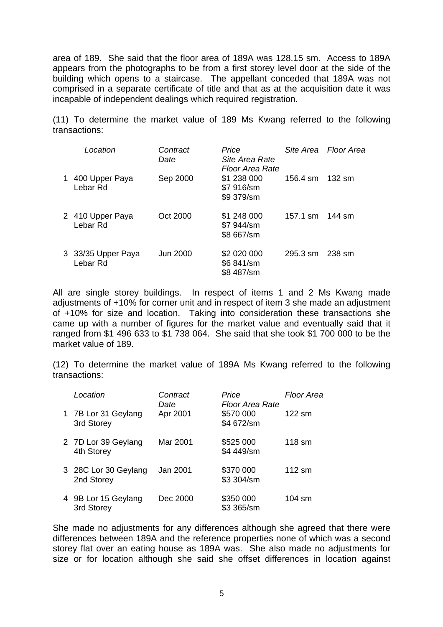area of 189. She said that the floor area of 189A was 128.15 sm. Access to 189A appears from the photographs to be from a first storey level door at the side of the building which opens to a staircase. The appellant conceded that 189A was not comprised in a separate certificate of title and that as at the acquisition date it was incapable of independent dealings which required registration.

(11) To determine the market value of 189 Ms Kwang referred to the following transactions:

| Location                       | Contract<br>Date | Price<br>Site Area Rate<br>Floor Area Rate |                    | Site Area Floor Area |
|--------------------------------|------------------|--------------------------------------------|--------------------|----------------------|
| 1 400 Upper Paya<br>Lebar Rd   | Sep 2000         | \$1 238 000<br>\$7 916/sm<br>\$9 379/sm    | 156.4 sm           | 132 sm               |
| 2 410 Upper Paya<br>Lebar Rd   | Oct 2000         | \$1 248 000<br>\$7 944/sm<br>\$8 667/sm    | 157.1 sm 144 sm    |                      |
| 3 33/35 Upper Paya<br>Lebar Rd | Jun 2000         | \$2 020 000<br>\$6 841/sm<br>\$8 487/sm    | $295.3 \text{ sm}$ | 238 sm               |

All are single storey buildings. In respect of items 1 and 2 Ms Kwang made adjustments of +10% for corner unit and in respect of item 3 she made an adjustment of +10% for size and location. Taking into consideration these transactions she came up with a number of figures for the market value and eventually said that it ranged from \$1 496 633 to \$1 738 064. She said that she took \$1 700 000 to be the market value of 189.

(12) To determine the market value of 189A Ms Kwang referred to the following transactions:

| Location                           | Contract<br>Date | Price<br><b>Floor Area Rate</b> | Floor Area       |
|------------------------------------|------------------|---------------------------------|------------------|
| 1 7B Lor 31 Geylang<br>3rd Storey  | Apr 2001         | \$570 000<br>\$4 672/sm         | 122 sm           |
| 2 7D Lor 39 Geylang<br>4th Storey  | Mar 2001         | \$525 000<br>\$4 449/sm         | 118 sm           |
| 3 28C Lor 30 Geylang<br>2nd Storey | Jan 2001         | \$370 000<br>\$3 304/sm         | $112 \text{ sm}$ |
| 4 9B Lor 15 Geylang<br>3rd Storey  | Dec 2000         | \$350 000<br>\$3 365/sm         | 104 sm           |

She made no adjustments for any differences although she agreed that there were differences between 189A and the reference properties none of which was a second storey flat over an eating house as 189A was. She also made no adjustments for size or for location although she said she offset differences in location against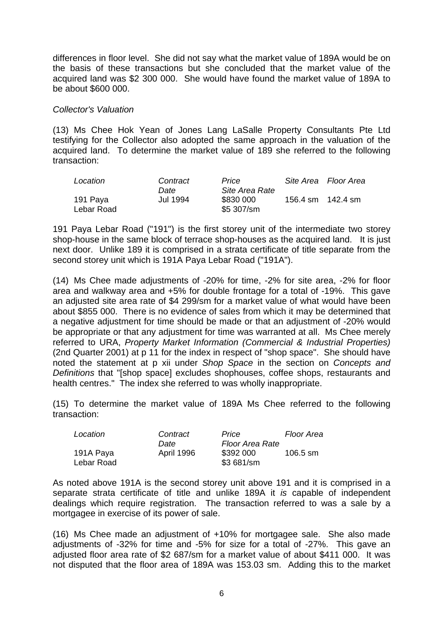differences in floor level. She did not say what the market value of 189A would be on the basis of these transactions but she concluded that the market value of the acquired land was \$2 300 000. She would have found the market value of 189A to be about \$600 000.

### *Collector's Valuation*

(13) Ms Chee Hok Yean of Jones Lang LaSalle Property Consultants Pte Ltd testifying for the Collector also adopted the same approach in the valuation of the acquired land. To determine the market value of 189 she referred to the following transaction:

| Location               | Contract         | Price                                     |          | Site Area Floor Area |
|------------------------|------------------|-------------------------------------------|----------|----------------------|
| 191 Paya<br>Lebar Road | Date<br>Jul 1994 | Site Area Rate<br>\$830 000<br>\$5 307/sm | 156.4 sm | 142.4 sm             |

191 Paya Lebar Road ("191") is the first storey unit of the intermediate two storey shop-house in the same block of terrace shop-houses as the acquired land. It is just next door. Unlike 189 it is comprised in a strata certificate of title separate from the second storey unit which is 191A Paya Lebar Road ("191A").

(14) Ms Chee made adjustments of -20% for time, -2% for site area, -2% for floor area and walkway area and +5% for double frontage for a total of -19%. This gave an adjusted site area rate of \$4 299/sm for a market value of what would have been about \$855 000. There is no evidence of sales from which it may be determined that a negative adjustment for time should be made or that an adjustment of -20% would be appropriate or that any adjustment for time was warranted at all. Ms Chee merely referred to URA, *Property Market Information (Commercial & Industrial Properties)* (2nd Quarter 2001) at p 11 for the index in respect of "shop space". She should have noted the statement at p xii under *Shop Space* in the section on *Concepts and Definitions* that "[shop space] excludes shophouses, coffee shops, restaurants and health centres." The index she referred to was wholly inappropriate.

(15) To determine the market value of 189A Ms Chee referred to the following transaction:

| Location   | Contract   | Price           | Floor Area         |
|------------|------------|-----------------|--------------------|
|            | Date       | Floor Area Rate |                    |
| 191A Paya  | April 1996 | \$392 000       | $106.5 \text{ sm}$ |
| Lebar Road |            | \$3 681/sm      |                    |

As noted above 191A is the second storey unit above 191 and it is comprised in a separate strata certificate of title and unlike 189A it *is* capable of independent dealings which require registration. The transaction referred to was a sale by a mortgagee in exercise of its power of sale.

(16) Ms Chee made an adjustment of +10% for mortgagee sale. She also made adjustments of -32% for time and -5% for size for a total of -27%. This gave an adjusted floor area rate of \$2 687/sm for a market value of about \$411 000. It was not disputed that the floor area of 189A was 153.03 sm. Adding this to the market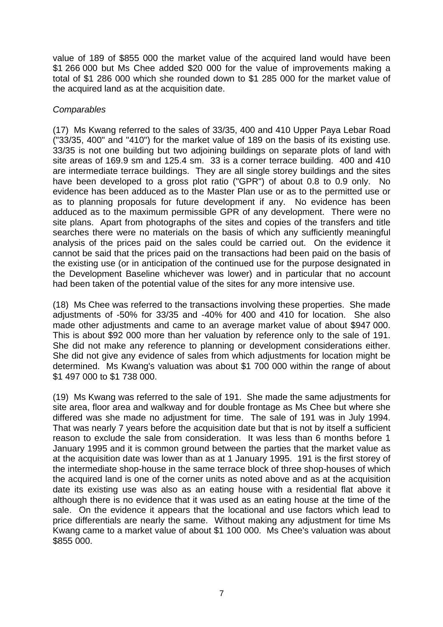value of 189 of \$855 000 the market value of the acquired land would have been \$1 266 000 but Ms Chee added \$20 000 for the value of improvements making a total of \$1 286 000 which she rounded down to \$1 285 000 for the market value of the acquired land as at the acquisition date.

# *Comparables*

(17) Ms Kwang referred to the sales of 33/35, 400 and 410 Upper Paya Lebar Road ("33/35, 400" and "410") for the market value of 189 on the basis of its existing use. 33/35 is not one building but two adjoining buildings on separate plots of land with site areas of 169.9 sm and 125.4 sm. 33 is a corner terrace building. 400 and 410 are intermediate terrace buildings. They are all single storey buildings and the sites have been developed to a gross plot ratio ("GPR") of about 0.8 to 0.9 only. No evidence has been adduced as to the Master Plan use or as to the permitted use or as to planning proposals for future development if any. No evidence has been adduced as to the maximum permissible GPR of any development. There were no site plans. Apart from photographs of the sites and copies of the transfers and title searches there were no materials on the basis of which any sufficiently meaningful analysis of the prices paid on the sales could be carried out. On the evidence it cannot be said that the prices paid on the transactions had been paid on the basis of the existing use (or in anticipation of the continued use for the purpose designated in the Development Baseline whichever was lower) and in particular that no account had been taken of the potential value of the sites for any more intensive use.

(18) Ms Chee was referred to the transactions involving these properties. She made adjustments of -50% for 33/35 and -40% for 400 and 410 for location. She also made other adjustments and came to an average market value of about \$947 000. This is about \$92 000 more than her valuation by reference only to the sale of 191. She did not make any reference to planning or development considerations either. She did not give any evidence of sales from which adjustments for location might be determined. Ms Kwang's valuation was about \$1 700 000 within the range of about \$1 497 000 to \$1 738 000.

(19) Ms Kwang was referred to the sale of 191. She made the same adjustments for site area, floor area and walkway and for double frontage as Ms Chee but where she differed was she made no adjustment for time. The sale of 191 was in July 1994. That was nearly 7 years before the acquisition date but that is not by itself a sufficient reason to exclude the sale from consideration. It was less than 6 months before 1 January 1995 and it is common ground between the parties that the market value as at the acquisition date was lower than as at 1 January 1995. 191 is the first storey of the intermediate shop-house in the same terrace block of three shop-houses of which the acquired land is one of the corner units as noted above and as at the acquisition date its existing use was also as an eating house with a residential flat above it although there is no evidence that it was used as an eating house at the time of the sale. On the evidence it appears that the locational and use factors which lead to price differentials are nearly the same. Without making any adjustment for time Ms Kwang came to a market value of about \$1 100 000. Ms Chee's valuation was about \$855 000.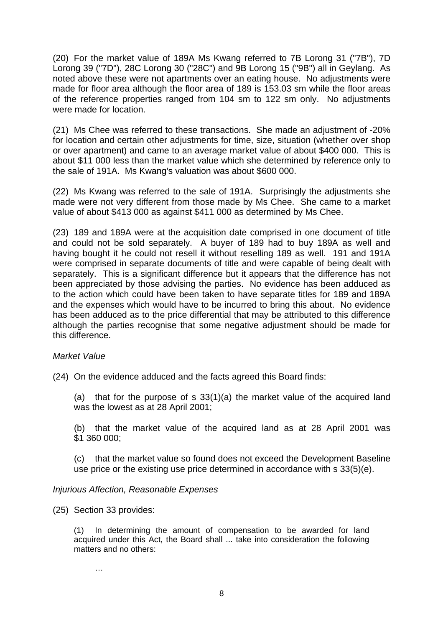(20) For the market value of 189A Ms Kwang referred to 7B Lorong 31 ("7B"), 7D Lorong 39 ("7D"), 28C Lorong 30 ("28C") and 9B Lorong 15 ("9B") all in Geylang. As noted above these were not apartments over an eating house. No adjustments were made for floor area although the floor area of 189 is 153.03 sm while the floor areas of the reference properties ranged from 104 sm to 122 sm only. No adjustments were made for location

(21) Ms Chee was referred to these transactions. She made an adjustment of -20% for location and certain other adjustments for time, size, situation (whether over shop or over apartment) and came to an average market value of about \$400 000. This is about \$11 000 less than the market value which she determined by reference only to the sale of 191A. Ms Kwang's valuation was about \$600 000.

(22) Ms Kwang was referred to the sale of 191A. Surprisingly the adjustments she made were not very different from those made by Ms Chee. She came to a market value of about \$413 000 as against \$411 000 as determined by Ms Chee.

(23) 189 and 189A were at the acquisition date comprised in one document of title and could not be sold separately. A buyer of 189 had to buy 189A as well and having bought it he could not resell it without reselling 189 as well. 191 and 191A were comprised in separate documents of title and were capable of being dealt with separately. This is a significant difference but it appears that the difference has not been appreciated by those advising the parties. No evidence has been adduced as to the action which could have been taken to have separate titles for 189 and 189A and the expenses which would have to be incurred to bring this about. No evidence has been adduced as to the price differential that may be attributed to this difference although the parties recognise that some negative adjustment should be made for this difference.

# *Market Value*

(24) On the evidence adduced and the facts agreed this Board finds:

(a) that for the purpose of s 33(1)(a) the market value of the acquired land was the lowest as at 28 April 2001;

(b) that the market value of the acquired land as at 28 April 2001 was \$1 360 000;

(c) that the market value so found does not exceed the Development Baseline use price or the existing use price determined in accordance with s 33(5)(e).

### *Injurious Affection, Reasonable Expenses*

(25) Section 33 provides:

(1) In determining the amount of compensation to be awarded for land acquired under this Act, the Board shall ... take into consideration the following matters and no others:

…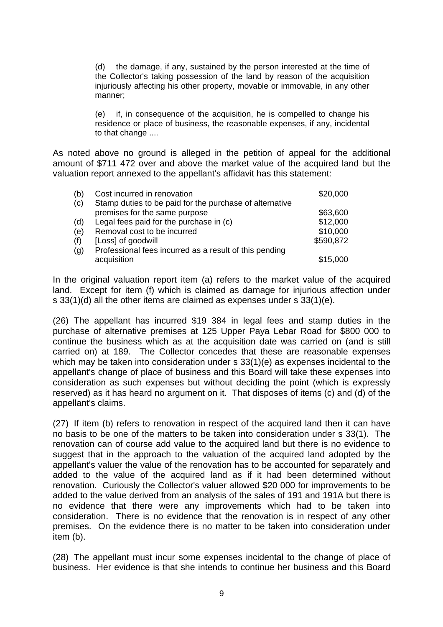(d) the damage, if any, sustained by the person interested at the time of the Collector's taking possession of the land by reason of the acquisition injuriously affecting his other property, movable or immovable, in any other manner;

(e) if, in consequence of the acquisition, he is compelled to change his residence or place of business, the reasonable expenses, if any, incidental to that change ....

As noted above no ground is alleged in the petition of appeal for the additional amount of \$711 472 over and above the market value of the acquired land but the valuation report annexed to the appellant's affidavit has this statement:

| (b) | Cost incurred in renovation                             | \$20,000  |
|-----|---------------------------------------------------------|-----------|
| (c) | Stamp duties to be paid for the purchase of alternative |           |
|     | premises for the same purpose                           | \$63,600  |
| (d) | Legal fees paid for the purchase in (c)                 | \$12,000  |
| (e) | Removal cost to be incurred                             | \$10,000  |
| (f) | [Loss] of goodwill                                      | \$590,872 |
| (g) | Professional fees incurred as a result of this pending  |           |
|     | acquisition                                             | \$15,000  |

In the original valuation report item (a) refers to the market value of the acquired land. Except for item (f) which is claimed as damage for injurious affection under s 33(1)(d) all the other items are claimed as expenses under s 33(1)(e).

(26) The appellant has incurred \$19 384 in legal fees and stamp duties in the purchase of alternative premises at 125 Upper Paya Lebar Road for \$800 000 to continue the business which as at the acquisition date was carried on (and is still carried on) at 189. The Collector concedes that these are reasonable expenses which may be taken into consideration under s 33(1)(e) as expenses incidental to the appellant's change of place of business and this Board will take these expenses into consideration as such expenses but without deciding the point (which is expressly reserved) as it has heard no argument on it. That disposes of items (c) and (d) of the appellant's claims.

(27) If item (b) refers to renovation in respect of the acquired land then it can have no basis to be one of the matters to be taken into consideration under s 33(1). The renovation can of course add value to the acquired land but there is no evidence to suggest that in the approach to the valuation of the acquired land adopted by the appellant's valuer the value of the renovation has to be accounted for separately and added to the value of the acquired land as if it had been determined without renovation. Curiously the Collector's valuer allowed \$20 000 for improvements to be added to the value derived from an analysis of the sales of 191 and 191A but there is no evidence that there were any improvements which had to be taken into consideration. There is no evidence that the renovation is in respect of any other premises. On the evidence there is no matter to be taken into consideration under item (b).

(28) The appellant must incur some expenses incidental to the change of place of business. Her evidence is that she intends to continue her business and this Board